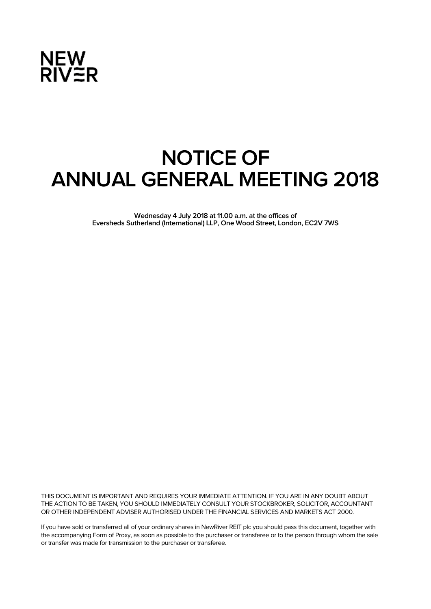

# **NOTICE OF ANNUAL GENERAL MEETING 2018**

**Wednesday 4 July 2018 at 11.00 a.m. at the offices of Eversheds Sutherland (International) LLP, One Wood Street, London, EC2V 7WS** 

THIS DOCUMENT IS IMPORTANT AND REQUIRES YOUR IMMEDIATE ATTENTION. IF YOU ARE IN ANY DOUBT ABOUT THE ACTION TO BE TAKEN, YOU SHOULD IMMEDIATELY CONSULT YOUR STOCKBROKER, SOLICITOR, ACCOUNTANT OR OTHER INDEPENDENT ADVISER AUTHORISED UNDER THE FINANCIAL SERVICES AND MARKETS ACT 2000.

If you have sold or transferred all of your ordinary shares in NewRiver REIT plc you should pass this document, together with the accompanying Form of Proxy, as soon as possible to the purchaser or transferee or to the person through whom the sale or transfer was made for transmission to the purchaser or transferee.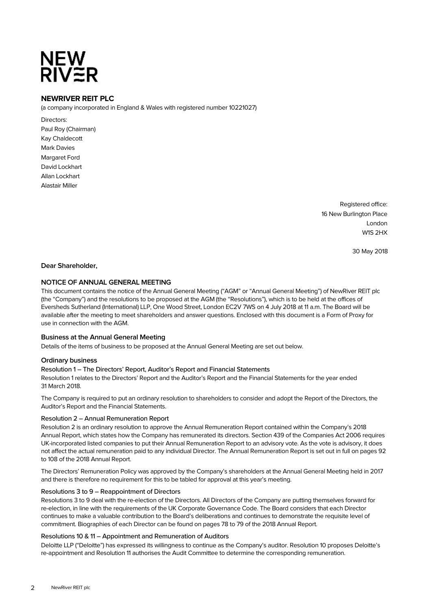# NEW<br>RIV≊R

## **NEWRIVER REIT PLC**

(a company incorporated in England & Wales with registered number 10221027)

Directors: Paul Roy (Chairman) Kay Chaldecott Mark Davies Margaret Ford David Lockhart Allan Lockhart Alastair Miller

> Registered office: 16 New Burlington Place London W1S 2HX

> > 30 May 2018

#### **Dear Shareholder,**

#### **NOTICE OF ANNUAL GENERAL MEETING**

This document contains the notice of the Annual General Meeting ("AGM" or "Annual General Meeting") of NewRiver REIT plc (the "Company") and the resolutions to be proposed at the AGM (the "Resolutions"), which is to be held at the offices of Eversheds Sutherland (International) LLP, One Wood Street, London EC2V 7WS on 4 July 2018 at 11 a.m. The Board will be available after the meeting to meet shareholders and answer questions. Enclosed with this document is a Form of Proxy for use in connection with the AGM.

#### **Business at the Annual General Meeting**

Details of the items of business to be proposed at the Annual General Meeting are set out below.

#### **Ordinary business**

#### Resolution 1 – The Directors' Report, Auditor's Report and Financial Statements

Resolution 1 relates to the Directors' Report and the Auditor's Report and the Financial Statements for the year ended 31 March 2018.

The Company is required to put an ordinary resolution to shareholders to consider and adopt the Report of the Directors, the Auditor's Report and the Financial Statements.

#### Resolution 2 – Annual Remuneration Report

Resolution 2 is an ordinary resolution to approve the Annual Remuneration Report contained within the Company's 2018 Annual Report, which states how the Company has remunerated its directors. Section 439 of the Companies Act 2006 requires UK-incorporated listed companies to put their Annual Remuneration Report to an advisory vote. As the vote is advisory, it does not affect the actual remuneration paid to any individual Director. The Annual Remuneration Report is set out in full on pages 92 to 108 of the 2018 Annual Report.

The Directors' Remuneration Policy was approved by the Company's shareholders at the Annual General Meeting held in 2017 and there is therefore no requirement for this to be tabled for approval at this year's meeting.

#### Resolutions 3 to 9 – Reappointment of Directors

Resolutions 3 to 9 deal with the re-election of the Directors. All Directors of the Company are putting themselves forward for re-election, in line with the requirements of the UK Corporate Governance Code. The Board considers that each Director continues to make a valuable contribution to the Board's deliberations and continues to demonstrate the requisite level of commitment. Biographies of each Director can be found on pages 78 to 79 of the 2018 Annual Report.

#### Resolutions 10 & 11 – Appointment and Remuneration of Auditors

Deloitte LLP ("Deloitte") has expressed its willingness to continue as the Company's auditor. Resolution 10 proposes Deloitte's re-appointment and Resolution 11 authorises the Audit Committee to determine the corresponding remuneration.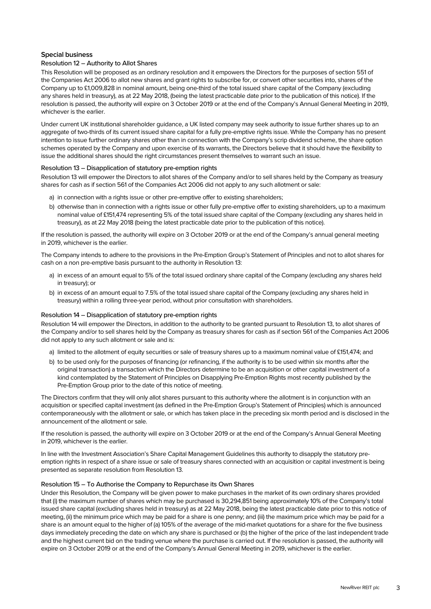#### **Special business**

#### Resolution 12 – Authority to Allot Shares

This Resolution will be proposed as an ordinary resolution and it empowers the Directors for the purposes of section 551 of the Companies Act 2006 to allot new shares and grant rights to subscribe for, or convert other securities into, shares of the Company up to £1,009,828 in nominal amount, being one-third of the total issued share capital of the Company (excluding any shares held in treasury), as at 22 May 2018, (being the latest practicable date prior to the publication of this notice). If the resolution is passed, the authority will expire on 3 October 2019 or at the end of the Company's Annual General Meeting in 2019, whichever is the earlier.

Under current UK institutional shareholder guidance, a UK listed company may seek authority to issue further shares up to an aggregate of two-thirds of its current issued share capital for a fully pre-emptive rights issue. While the Company has no present intention to issue further ordinary shares other than in connection with the Company's scrip dividend scheme, the share option schemes operated by the Company and upon exercise of its warrants, the Directors believe that it should have the flexibility to issue the additional shares should the right circumstances present themselves to warrant such an issue.

#### Resolution 13 – Disapplication of statutory pre-emption rights

Resolution 13 will empower the Directors to allot shares of the Company and/or to sell shares held by the Company as treasury shares for cash as if section 561 of the Companies Act 2006 did not apply to any such allotment or sale:

- a) in connection with a rights issue or other pre-emptive offer to existing shareholders;
- b) otherwise than in connection with a rights issue or other fully pre-emptive offer to existing shareholders, up to a maximum nominal value of £151,474 representing 5% of the total issued share capital of the Company (excluding any shares held in treasury), as at 22 May 2018 (being the latest practicable date prior to the publication of this notice).

If the resolution is passed, the authority will expire on 3 October 2019 or at the end of the Company's annual general meeting in 2019, whichever is the earlier.

The Company intends to adhere to the provisions in the Pre-Emption Group's Statement of Principles and not to allot shares for cash on a non pre-emptive basis pursuant to the authority in Resolution 13:

- a) in excess of an amount equal to 5% of the total issued ordinary share capital of the Company (excluding any shares held in treasury); or
- b) in excess of an amount equal to 7.5% of the total issued share capital of the Company (excluding any shares held in treasury) within a rolling three-year period, without prior consultation with shareholders.

#### Resolution 14 – Disapplication of statutory pre-emption rights

Resolution 14 will empower the Directors, in addition to the authority to be granted pursuant to Resolution 13, to allot shares of the Company and/or to sell shares held by the Company as treasury shares for cash as if section 561 of the Companies Act 2006 did not apply to any such allotment or sale and is:

- a) limited to the allotment of equity securities or sale of treasury shares up to a maximum nominal value of £151,474; and
- b) to be used only for the purposes of financing (or refinancing, if the authority is to be used within six months after the original transaction) a transaction which the Directors determine to be an acquisition or other capital investment of a kind contemplated by the Statement of Principles on Disapplying Pre-Emption Rights most recently published by the Pre-Emption Group prior to the date of this notice of meeting.

The Directors confirm that they will only allot shares pursuant to this authority where the allotment is in conjunction with an acquisition or specified capital investment (as defined in the Pre-Emption Group's Statement of Principles) which is announced contemporaneously with the allotment or sale, or which has taken place in the preceding six month period and is disclosed in the announcement of the allotment or sale.

If the resolution is passed, the authority will expire on 3 October 2019 or at the end of the Company's Annual General Meeting in 2019, whichever is the earlier.

In line with the Investment Association's Share Capital Management Guidelines this authority to disapply the statutory preemption rights in respect of a share issue or sale of treasury shares connected with an acquisition or capital investment is being presented as separate resolution from Resolution 13.

#### Resolution 15 – To Authorise the Company to Repurchase its Own Shares

Under this Resolution, the Company will be given power to make purchases in the market of its own ordinary shares provided that (i) the maximum number of shares which may be purchased is 30,294,851 being approximately 10% of the Company's total issued share capital (excluding shares held in treasury) as at 22 May 2018, being the latest practicable date prior to this notice of meeting, (ii) the minimum price which may be paid for a share is one penny; and (iii) the maximum price which may be paid for a share is an amount equal to the higher of (a) 105% of the average of the mid-market quotations for a share for the five business days immediately preceding the date on which any share is purchased or (b) the higher of the price of the last independent trade and the highest current bid on the trading venue where the purchase is carried out. If the resolution is passed, the authority will expire on 3 October 2019 or at the end of the Company's Annual General Meeting in 2019, whichever is the earlier.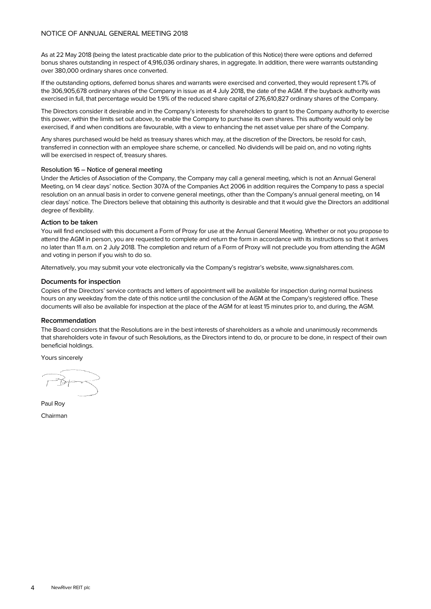#### NOTICE OF ANNUAL GENERAL MEETING 2018

As at 22 May 2018 (being the latest practicable date prior to the publication of this Notice) there were options and deferred bonus shares outstanding in respect of 4,916,036 ordinary shares, in aggregate. In addition, there were warrants outstanding over 380,000 ordinary shares once converted.

If the outstanding options, deferred bonus shares and warrants were exercised and converted, they would represent 1.7% of the 306,905,678 ordinary shares of the Company in issue as at 4 July 2018, the date of the AGM. If the buyback authority was exercised in full, that percentage would be 1.9% of the reduced share capital of 276,610,827 ordinary shares of the Company.

The Directors consider it desirable and in the Company's interests for shareholders to grant to the Company authority to exercise this power, within the limits set out above, to enable the Company to purchase its own shares. This authority would only be exercised, if and when conditions are favourable, with a view to enhancing the net asset value per share of the Company.

Any shares purchased would be held as treasury shares which may, at the discretion of the Directors, be resold for cash, transferred in connection with an employee share scheme, or cancelled. No dividends will be paid on, and no voting rights will be exercised in respect of, treasury shares.

#### Resolution 16 – Notice of general meeting

Under the Articles of Association of the Company, the Company may call a general meeting, which is not an Annual General Meeting, on 14 clear days' notice. Section 307A of the Companies Act 2006 in addition requires the Company to pass a special resolution on an annual basis in order to convene general meetings, other than the Company's annual general meeting, on 14 clear days' notice. The Directors believe that obtaining this authority is desirable and that it would give the Directors an additional degree of flexibility.

#### **Action to be taken**

You will find enclosed with this document a Form of Proxy for use at the Annual General Meeting. Whether or not you propose to attend the AGM in person, you are requested to complete and return the form in accordance with its instructions so that it arrives no later than 11 a.m. on 2 July 2018. The completion and return of a Form of Proxy will not preclude you from attending the AGM and voting in person if you wish to do so.

Alternatively, you may submit your vote electronically via the Company's registrar's website, www.signalshares.com.

#### **Documents for inspection**

Copies of the Directors' service contracts and letters of appointment will be available for inspection during normal business hours on any weekday from the date of this notice until the conclusion of the AGM at the Company's registered office. These documents will also be available for inspection at the place of the AGM for at least 15 minutes prior to, and during, the AGM.

#### **Recommendation**

The Board considers that the Resolutions are in the best interests of shareholders as a whole and unanimously recommends that shareholders vote in favour of such Resolutions, as the Directors intend to do, or procure to be done, in respect of their own beneficial holdings.

Yours sincerely

.<br>73 -

Paul Roy Chairman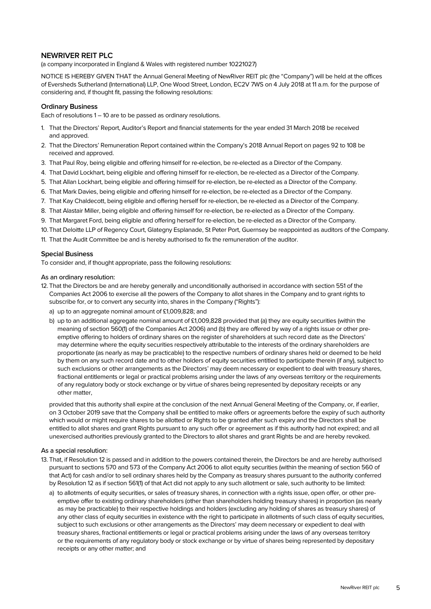### **NEWRIVER REIT PLC**

(a company incorporated in England & Wales with registered number 10221027)

NOTICE IS HEREBY GIVEN THAT the Annual General Meeting of NewRiver REIT plc (the "Company") will be held at the offices of Eversheds Sutherland (International) LLP, One Wood Street, London, EC2V 7WS on 4 July 2018 at 11 a.m. for the purpose of considering and, if thought fit, passing the following resolutions:

#### **Ordinary Business**

Each of resolutions 1 – 10 are to be passed as ordinary resolutions.

- 1. That the Directors' Report, Auditor's Report and financial statements for the year ended 31 March 2018 be received and approved.
- 2. That the Directors' Remuneration Report contained within the Company's 2018 Annual Report on pages 92 to 108 be received and approved.
- 3. That Paul Roy, being eligible and offering himself for re-election, be re-elected as a Director of the Company.
- 4. That David Lockhart, being eligible and offering himself for re-election, be re-elected as a Director of the Company.
- 5. That Allan Lockhart, being eligible and offering himself for re-election, be re-elected as a Director of the Company.
- 6. That Mark Davies, being eligible and offering himself for re-election, be re-elected as a Director of the Company.
- 7. That Kay Chaldecott, being eligible and offering herself for re-election, be re-elected as a Director of the Company.
- 8. That Alastair Miller, being eligible and offering himself for re-election, be re-elected as a Director of the Company.
- 9. That Margaret Ford, being eligible and offering herself for re-election, be re-elected as a Director of the Company.
- 10.That Deloitte LLP of Regency Court, Glategny Esplanade, St Peter Port, Guernsey be reappointed as auditors of the Company.
- 11. That the Audit Committee be and is hereby authorised to fix the remuneration of the auditor.

#### **Special Business**

To consider and, if thought appropriate, pass the following resolutions:

#### As an ordinary resolution:

- 12.That the Directors be and are hereby generally and unconditionally authorised in accordance with section 551 of the Companies Act 2006 to exercise all the powers of the Company to allot shares in the Company and to grant rights to subscribe for, or to convert any security into, shares in the Company ("Rights"):
	- a) up to an aggregate nominal amount of £1,009,828; and
	- b) up to an additional aggregate nominal amount of £1,009,828 provided that (a) they are equity securities (within the meaning of section 560(1) of the Companies Act 2006) and (b) they are offered by way of a rights issue or other preemptive offering to holders of ordinary shares on the register of shareholders at such record date as the Directors' may determine where the equity securities respectively attributable to the interests of the ordinary shareholders are proportionate (as nearly as may be practicable) to the respective numbers of ordinary shares held or deemed to be held by them on any such record date and to other holders of equity securities entitled to participate therein (if any), subject to such exclusions or other arrangements as the Directors' may deem necessary or expedient to deal with treasury shares, fractional entitlements or legal or practical problems arising under the laws of any overseas territory or the requirements of any regulatory body or stock exchange or by virtue of shares being represented by depositary receipts or any other matter,

provided that this authority shall expire at the conclusion of the next Annual General Meeting of the Company, or, if earlier, on 3 October 2019 save that the Company shall be entitled to make offers or agreements before the expiry of such authority which would or might require shares to be allotted or Rights to be granted after such expiry and the Directors shall be entitled to allot shares and grant Rights pursuant to any such offer or agreement as if this authority had not expired; and all unexercised authorities previously granted to the Directors to allot shares and grant Rights be and are hereby revoked.

#### As a special resolution:

- 13. That, if Resolution 12 is passed and in addition to the powers contained therein, the Directors be and are hereby authorised pursuant to sections 570 and 573 of the Company Act 2006 to allot equity securities (within the meaning of section 560 of that Act) for cash and/or to sell ordinary shares held by the Company as treasury shares pursuant to the authority conferred by Resolution 12 as if section 561(1) of that Act did not apply to any such allotment or sale, such authority to be limited:
	- a) to allotments of equity securities, or sales of treasury shares, in connection with a rights issue, open offer, or other preemptive offer to existing ordinary shareholders (other than shareholders holding treasury shares) in proportion (as nearly as may be practicable) to their respective holdings and holders (excluding any holding of shares as treasury shares) of any other class of equity securities in existence with the right to participate in allotments of such class of equity securities, subject to such exclusions or other arrangements as the Directors' may deem necessary or expedient to deal with treasury shares, fractional entitlements or legal or practical problems arising under the laws of any overseas territory or the requirements of any regulatory body or stock exchange or by virtue of shares being represented by depositary receipts or any other matter; and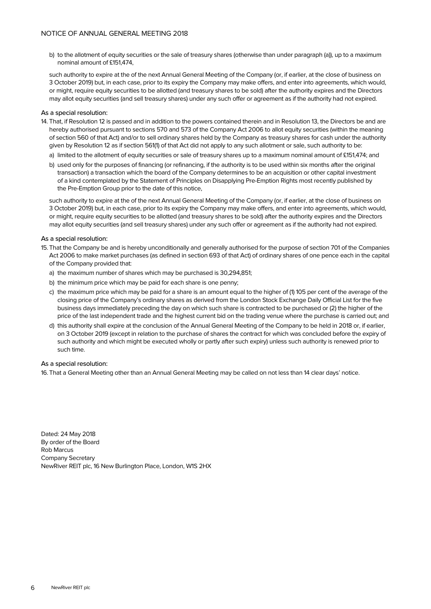b) to the allotment of equity securities or the sale of treasury shares (otherwise than under paragraph (a)), up to a maximum nominal amount of £151,474,

such authority to expire at the of the next Annual General Meeting of the Company (or, if earlier, at the close of business on 3 October 2019) but, in each case, prior to its expiry the Company may make offers, and enter into agreements, which would, or might, require equity securities to be allotted (and treasury shares to be sold) after the authority expires and the Directors may allot equity securities (and sell treasury shares) under any such offer or agreement as if the authority had not expired.

#### As a special resolution:

- 14. That, if Resolution 12 is passed and in addition to the powers contained therein and in Resolution 13, the Directors be and are hereby authorised pursuant to sections 570 and 573 of the Company Act 2006 to allot equity securities (within the meaning of section 560 of that Act) and/or to sell ordinary shares held by the Company as treasury shares for cash under the authority given by Resolution 12 as if section 561(1) of that Act did not apply to any such allotment or sale, such authority to be:
	- a) limited to the allotment of equity securities or sale of treasury shares up to a maximum nominal amount of £151,474; and
	- b) used only for the purposes of financing (or refinancing, if the authority is to be used within six months after the original transaction) a transaction which the board of the Company determines to be an acquisition or other capital investment of a kind contemplated by the Statement of Principles on Disapplying Pre-Emption Rights most recently published by the Pre-Emption Group prior to the date of this notice,

such authority to expire at the of the next Annual General Meeting of the Company (or, if earlier, at the close of business on 3 October 2019) but, in each case, prior to its expiry the Company may make offers, and enter into agreements, which would, or might, require equity securities to be allotted (and treasury shares to be sold) after the authority expires and the Directors may allot equity securities (and sell treasury shares) under any such offer or agreement as if the authority had not expired.

#### As a special resolution:

- 15.That the Company be and is hereby unconditionally and generally authorised for the purpose of section 701 of the Companies Act 2006 to make market purchases (as defined in section 693 of that Act) of ordinary shares of one pence each in the capital of the Company provided that:
	- a) the maximum number of shares which may be purchased is 30,294,851;
	- b) the minimum price which may be paid for each share is one penny;
	- c) the maximum price which may be paid for a share is an amount equal to the higher of (1) 105 per cent of the average of the closing price of the Company's ordinary shares as derived from the London Stock Exchange Daily Official List for the five business days immediately preceding the day on which such share is contracted to be purchased or (2) the higher of the price of the last independent trade and the highest current bid on the trading venue where the purchase is carried out; and
	- d) this authority shall expire at the conclusion of the Annual General Meeting of the Company to be held in 2018 or, if earlier, on 3 October 2019 (except in relation to the purchase of shares the contract for which was concluded before the expiry of such authority and which might be executed wholly or partly after such expiry) unless such authority is renewed prior to such time.

#### As a special resolution:

16.That a General Meeting other than an Annual General Meeting may be called on not less than 14 clear days' notice.

Dated: 24 May 2018 By order of the Board Rob Marcus Company Secretary NewRiver REIT plc, 16 New Burlington Place, London, W1S 2HX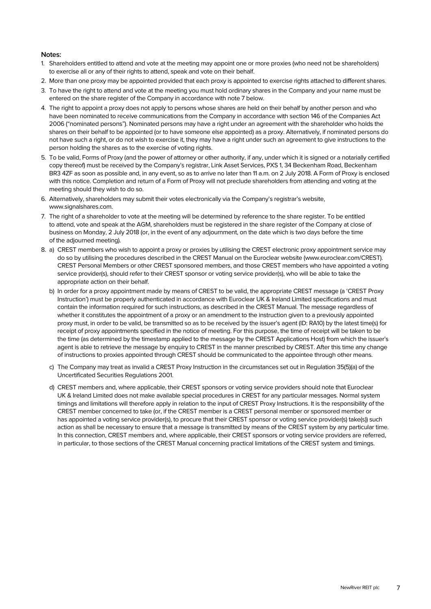#### **Notes:**

- 1. Shareholders entitled to attend and vote at the meeting may appoint one or more proxies (who need not be shareholders) to exercise all or any of their rights to attend, speak and vote on their behalf.
- 2. More than one proxy may be appointed provided that each proxy is appointed to exercise rights attached to different shares.
- 3. To have the right to attend and vote at the meeting you must hold ordinary shares in the Company and your name must be entered on the share register of the Company in accordance with note 7 below.
- 4. The right to appoint a proxy does not apply to persons whose shares are held on their behalf by another person and who have been nominated to receive communications from the Company in accordance with section 146 of the Companies Act 2006 ("nominated persons"). Nominated persons may have a right under an agreement with the shareholder who holds the shares on their behalf to be appointed (or to have someone else appointed) as a proxy. Alternatively, if nominated persons do not have such a right, or do not wish to exercise it, they may have a right under such an agreement to give instructions to the person holding the shares as to the exercise of voting rights.
- 5. To be valid, Forms of Proxy (and the power of attorney or other authority, if any, under which it is signed or a notarially certified copy thereof) must be received by the Company's registrar, Link Asset Services, PXS 1, 34 Beckenham Road, Beckenham BR3 4ZF as soon as possible and, in any event, so as to arrive no later than 11 a.m. on 2 July 2018. A Form of Proxy is enclosed with this notice. Completion and return of a Form of Proxy will not preclude shareholders from attending and voting at the meeting should they wish to do so.
- 6. Alternatively, shareholders may submit their votes electronically via the Company's registrar's website, www.signalshares.com.
- 7. The right of a shareholder to vote at the meeting will be determined by reference to the share register. To be entitled to attend, vote and speak at the AGM, shareholders must be registered in the share register of the Company at close of business on Monday, 2 July 2018 (or, in the event of any adjournment, on the date which is two days before the time of the adjourned meeting).
- 8. a) CREST members who wish to appoint a proxy or proxies by utilising the CREST electronic proxy appointment service may do so by utilising the procedures described in the CREST Manual on the Euroclear website (www.euroclear.com/CREST). CREST Personal Members or other CREST sponsored members, and those CREST members who have appointed a voting service provider(s), should refer to their CREST sponsor or voting service provider(s), who will be able to take the appropriate action on their behalf.
	- b) In order for a proxy appointment made by means of CREST to be valid, the appropriate CREST message (a 'CREST Proxy Instruction') must be properly authenticated in accordance with Euroclear UK & Ireland Limited specifications and must contain the information required for such instructions, as described in the CREST Manual. The message regardless of whether it constitutes the appointment of a proxy or an amendment to the instruction given to a previously appointed proxy must, in order to be valid, be transmitted so as to be received by the issuer's agent (ID: RA10) by the latest time(s) for receipt of proxy appointments specified in the notice of meeting. For this purpose, the time of receipt will be taken to be the time (as determined by the timestamp applied to the message by the CREST Applications Host) from which the issuer's agent is able to retrieve the message by enquiry to CREST in the manner prescribed by CREST. After this time any change of instructions to proxies appointed through CREST should be communicated to the appointee through other means.
	- c) The Company may treat as invalid a CREST Proxy Instruction in the circumstances set out in Regulation 35(5)(a) of the Uncertificated Securities Regulations 2001.
	- d) CREST members and, where applicable, their CREST sponsors or voting service providers should note that Euroclear UK & Ireland Limited does not make available special procedures in CREST for any particular messages. Normal system timings and limitations will therefore apply in relation to the input of CREST Proxy Instructions. It is the responsibility of the CREST member concerned to take (or, if the CREST member is a CREST personal member or sponsored member or has appointed a voting service provider(s), to procure that their CREST sponsor or voting service provider(s) take(s)) such action as shall be necessary to ensure that a message is transmitted by means of the CREST system by any particular time. In this connection, CREST members and, where applicable, their CREST sponsors or voting service providers are referred, in particular, to those sections of the CREST Manual concerning practical limitations of the CREST system and timings.